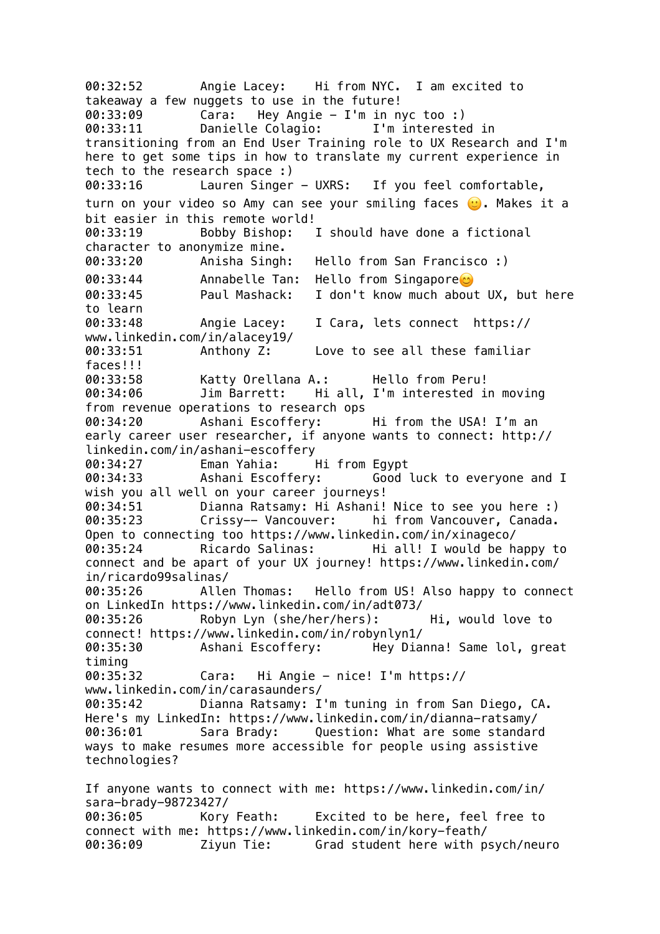00:32:52 Angie Lacey: Hi from NYC. I am excited to takeaway a few nuggets to use in the future! 00:33:09 Cara: Hey Angie - I'm in nyc too :) 00:33:11 Danielle Colagio: I'm interested in transitioning from an End User Training role to UX Research and I'm here to get some tips in how to translate my current experience in tech to the research space :) 00:33:16 Lauren Singer - UXRS: If you feel comfortable, turn on your video so Amy can see your smiling faces (). Makes it a bit easier in this remote world! 00:33:19 Bobby Bishop: I should have done a fictional character to anonymize mine. 00:33:20 Anisha Singh: Hello from San Francisco :) 00:33:44 Annabelle Tan: Hello from Singapore 00:33:45 Paul Mashack: I don't know much about UX, but here to learn 00:33:48 Angie Lacey: I Cara, lets connect https:// www.linkedin.com/in/alacey19/ 00:33:51 Anthony Z: Love to see all these familiar faces!!! 00:33:58 Katty Orellana A.: Hello from Peru! 00:34:06 Jim Barrett: Hi all, I'm interested in moving from revenue operations to research ops 00:34:20 Ashani Escoffery: Hi from the USA! I'm an early career user researcher, if anyone wants to connect: http:// linkedin.com/in/ashani-escoffery 00:34:27 Eman Yahia: Hi from Egypt 00:34:33 Ashani Escoffery: Good luck to everyone and I wish you all well on your career journeys! 00:34:51 Dianna Ratsamy: Hi Ashani! Nice to see you here :) 00:35:23 Crissy-- Vancouver: hi from Vancouver, Canada. Open to connecting too https://www.linkedin.com/in/xinageco/ 00:35:24 Ricardo Salinas: Hi all! I would be happy to connect and be apart of your UX journey! https://www.linkedin.com/ in/ricardo99salinas/ 00:35:26 Allen Thomas: Hello from US! Also happy to connect on LinkedIn https://www.linkedin.com/in/adt073/ 00:35:26 Robyn Lyn (she/her/hers): Hi, would love to connect! https://www.linkedin.com/in/robynlyn1/ 00:35:30 Ashani Escoffery: Hey Dianna! Same lol, great timing 00:35:32 Cara: Hi Angie - nice! I'm https:// www.linkedin.com/in/carasaunders/ 00:35:42 Dianna Ratsamy: I'm tuning in from San Diego, CA. Here's my LinkedIn: https://www.linkedin.com/in/dianna-ratsamy/ 00:36:01 Sara Brady: Question: What are some standard ways to make resumes more accessible for people using assistive technologies? If anyone wants to connect with me: https://www.linkedin.com/in/ sara-brady-98723427/ 00:36:05 Kory Feath: Excited to be here, feel free to connect with me: https://www.linkedin.com/in/kory-feath/ 00:36:09 Ziyun Tie: Grad student here with psych/neuro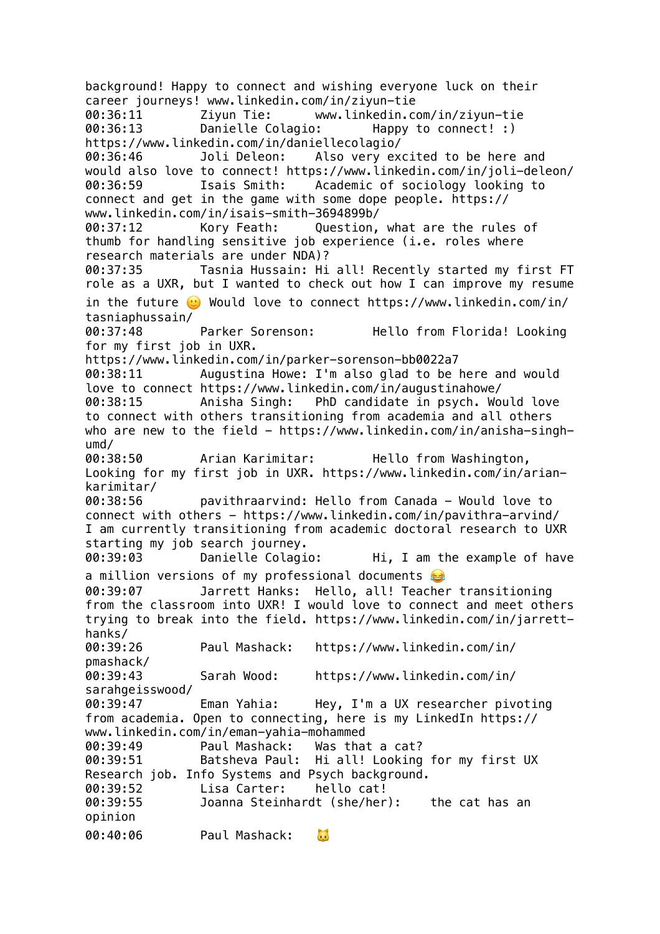background! Happy to connect and wishing everyone luck on their career journeys! www.linkedin.com/in/ziyun-tie 00:36:11 Ziyun Tie: www.linkedin.com/in/ziyun-tie 00:36:13 Danielle Colagio: Happy to connect! :) https://www.linkedin.com/in/daniellecolagio/ 00:36:46 Joli Deleon: Also very excited to be here and would also love to connect! https://www.linkedin.com/in/joli-deleon/ 00:36:59 Isais Smith: Academic of sociology looking to connect and get in the game with some dope people. https:// www.linkedin.com/in/isais-smith-3694899b/ 00:37:12 Kory Feath: Question, what are the rules of thumb for handling sensitive job experience (i.e. roles where research materials are under NDA)? 00:37:35 Tasnia Hussain: Hi all! Recently started my first FT role as a UXR, but I wanted to check out how I can improve my resume in the future  $\odot$  Would love to connect https://www.linkedin.com/in/ tasniaphussain/ 00:37:48 Parker Sorenson: Hello from Florida! Looking for my first job in UXR. https://www.linkedin.com/in/parker-sorenson-bb0022a7 00:38:11 Augustina Howe: I'm also glad to be here and would love to connect https://www.linkedin.com/in/augustinahowe/ 00:38:15 Anisha Singh: PhD candidate in psych. Would love to connect with others transitioning from academia and all others who are new to the field - https://www.linkedin.com/in/anisha-singhumd/ 00:38:50 Arian Karimitar: Hello from Washington, Looking for my first job in UXR. https://www.linkedin.com/in/ariankarimitar/ 00:38:56 pavithraarvind: Hello from Canada - Would love to connect with others - https://www.linkedin.com/in/pavithra-arvind/ I am currently transitioning from academic doctoral research to UXR starting my job search journey. 00:39:03 Danielle Colagio: Hi, I am the example of have a million versions of my professional documents 00:39:07 Jarrett Hanks: Hello, all! Teacher transitioning from the classroom into UXR! I would love to connect and meet others trying to break into the field. https://www.linkedin.com/in/jarretthanks/ 00:39:26 Paul Mashack: https://www.linkedin.com/in/ pmashack/ 00:39:43 Sarah Wood: https://www.linkedin.com/in/ sarahgeisswood/ 00:39:47 Eman Yahia: Hey, I'm a UX researcher pivoting from academia. Open to connecting, here is my LinkedIn https:// www.linkedin.com/in/eman-yahia-mohammed 00:39:49 Paul Mashack: Was that a cat? 00:39:51 Batsheva Paul: Hi all! Looking for my first UX Research job. Info Systems and Psych background. 00:39:52 Lisa Carter: hello cat! 00:39:55 Joanna Steinhardt (she/her): the cat has an opinion 00:40:06 Paul Mashack:  $\mathbf{L}$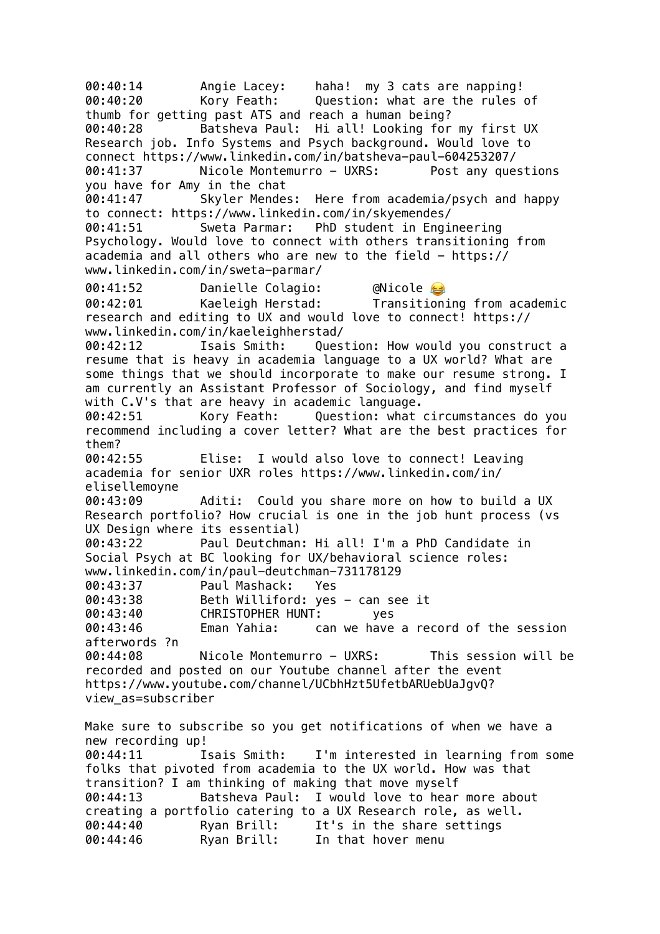00:40:14 Angie Lacey: haha! my 3 cats are napping! 00:40:20 Kory Feath: Question: what are the rules of thumb for getting past ATS and reach a human being? 00:40:28 Batsheva Paul: Hi all! Looking for my first UX Research job. Info Systems and Psych background. Would love to connect https://www.linkedin.com/in/batsheva-paul-604253207/ 00:41:37 Nicole Montemurro - UXRS: Post any questions you have for Amy in the chat 00:41:47 Skyler Mendes: Here from academia/psych and happy to connect: https://www.linkedin.com/in/skyemendes/ 00:41:51 Sweta Parmar: PhD student in Engineering Psychology. Would love to connect with others transitioning from academia and all others who are new to the field - https:// www.linkedin.com/in/sweta-parmar/ 00:41:52 Danielle Colagio: @Nicole 00:42:01 Kaeleigh Herstad: Transitioning from academic research and editing to UX and would love to connect! https:// www.linkedin.com/in/kaeleighherstad/ 00:42:12 Isais Smith: Question: How would you construct a resume that is heavy in academia language to a UX world? What are some things that we should incorporate to make our resume strong. I am currently an Assistant Professor of Sociology, and find myself with C.V's that are heavy in academic language. 00:42:51 Kory Feath: Question: what circumstances do you recommend including a cover letter? What are the best practices for them? 00:42:55 Elise: I would also love to connect! Leaving academia for senior UXR roles https://www.linkedin.com/in/ elisellemoyne 00:43:09 Aditi: Could you share more on how to build a UX Research portfolio? How crucial is one in the job hunt process (vs UX Design where its essential) 00:43:22 Paul Deutchman: Hi all! I'm a PhD Candidate in Social Psych at BC looking for UX/behavioral science roles: www.linkedin.com/in/paul-deutchman-731178129 00:43:37 Paul Mashack: Yes 00:43:38 Beth Williford: yes - can see it 00:43:40 CHRISTOPHER HUNT: yes 00:43:46 Eman Yahia: can we have a record of the session afterwords ?n 00:44:08 Nicole Montemurro - UXRS: This session will be recorded and posted on our Youtube channel after the event https://www.youtube.com/channel/UCbhHzt5UfetbARUebUaJgvQ? view\_as=subscriber Make sure to subscribe so you get notifications of when we have a new recording up! 00:44:11 Isais Smith: I'm interested in learning from some folks that pivoted from academia to the UX world. How was that transition? I am thinking of making that move myself 00:44:13 Batsheva Paul: I would love to hear more about creating a portfolio catering to a UX Research role, as well. 00:44:40 Ryan Brill: It's in the share settings 00:44:46 Ryan Brill: In that hover menu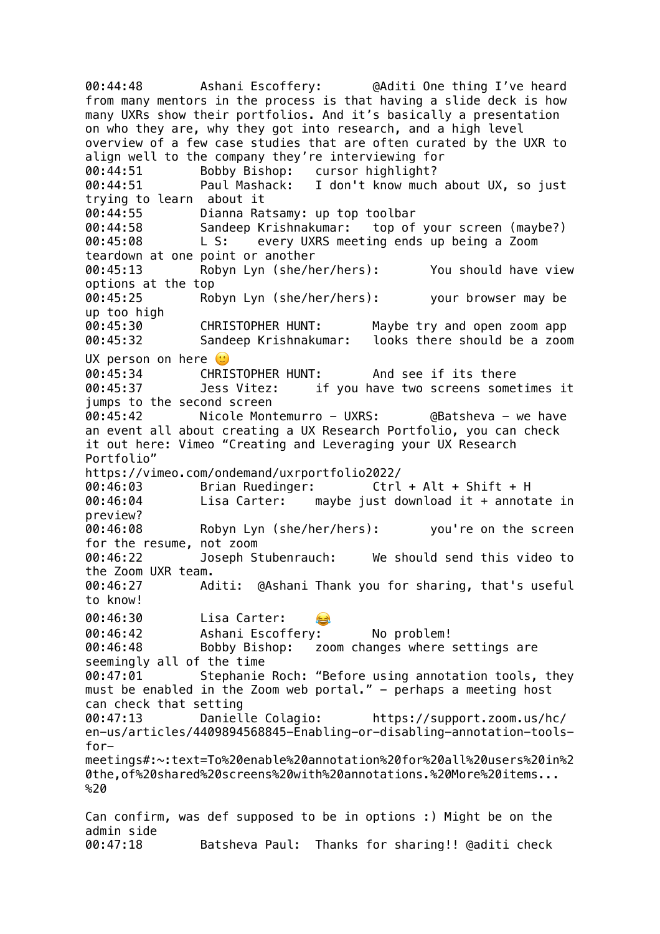00:44:48 Ashani Escoffery: @Aditi One thing I've heard from many mentors in the process is that having a slide deck is how many UXRs show their portfolios. And it's basically a presentation on who they are, why they got into research, and a high level overview of a few case studies that are often curated by the UXR to align well to the company they're interviewing for 00:44:51 Bobby Bishop: cursor highlight? 00:44:51 Paul Mashack: I don't know much about UX, so just trying to learn about it 00:44:55 Dianna Ratsamy: up top toolbar 00:44:58 Sandeep Krishnakumar: top of your screen (maybe?) 00:45:08 L S: every UXRS meeting ends up being a Zoom teardown at one point or another 00:45:13 Robyn Lyn (she/her/hers): You should have view options at the top 00:45:25 Robyn Lyn (she/her/hers): your browser may be up too high 00:45:30 CHRISTOPHER HUNT: Maybe try and open zoom app 00:45:32 Sandeep Krishnakumar: looks there should be a zoom UX person on here  $\heartsuit$ 00:45:34 CHRISTOPHER HUNT: And see if its there 00:45:37 Jess Vitez: if you have two screens sometimes it jumps to the second screen 00:45:42 Nicole Montemurro - UXRS: @Batsheva - we have an event all about creating a UX Research Portfolio, you can check it out here: Vimeo "Creating and Leveraging your UX Research Portfolio" https://vimeo.com/ondemand/uxrportfolio2022/ 00:46:03 Brian Ruedinger: Ctrl + Alt + Shift + H 00:46:04 Lisa Carter: maybe just download it + annotate in preview? 00:46:08 Robyn Lyn (she/her/hers): you're on the screen for the resume, not zoom 00:46:22 Joseph Stubenrauch: We should send this video to the Zoom UXR team. 00:46:27 Aditi: @Ashani Thank you for sharing, that's useful to know! 00:46:30 Lisa Carter: 00:46:42 Ashani Escoffery: No problem! 00:46:48 Bobby Bishop: zoom changes where settings are seemingly all of the time 00:47:01 Stephanie Roch: "Before using annotation tools, they must be enabled in the Zoom web portal." - perhaps a meeting host can check that setting 00:47:13 Danielle Colagio: https://support.zoom.us/hc/ en-us/articles/4409894568845-Enabling-or-disabling-annotation-toolsformeetings#:~:text=To%20enable%20annotation%20for%20all%20users%20in%2 0the,of%20shared%20screens%20with%20annotations.%20More%20items...  $820$ Can confirm, was def supposed to be in options :) Might be on the admin side

00:47:18 Batsheva Paul: Thanks for sharing!! @aditi check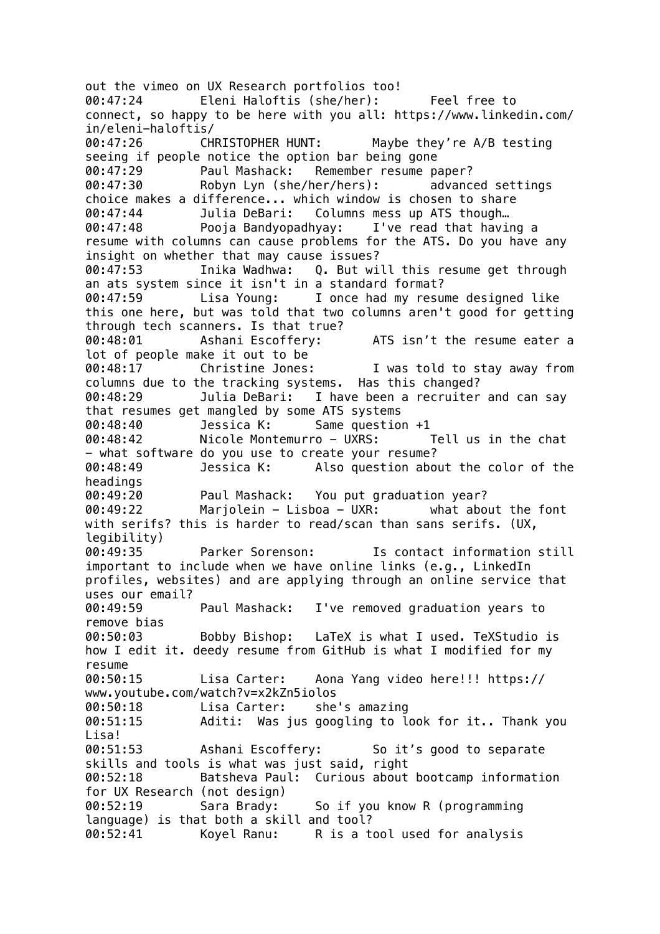out the vimeo on UX Research portfolios too! 00:47:24 Eleni Haloftis (she/her): Feel free to connect, so happy to be here with you all: https://www.linkedin.com/ in/eleni-haloftis/ 00:47:26 CHRISTOPHER HUNT: Maybe they're A/B testing seeing if people notice the option bar being gone 00:47:29 Paul Mashack: Remember resume paper? 00:47:30 Robyn Lyn (she/her/hers): advanced settings choice makes a difference... which window is chosen to share 00:47:44 Julia DeBari: Columns mess up ATS though… 00:47:48 Pooja Bandyopadhyay: I've read that having a resume with columns can cause problems for the ATS. Do you have any insight on whether that may cause issues? 00:47:53 Inika Wadhwa: Q. But will this resume get through an ats system since it isn't in a standard format? 00:47:59 Lisa Young: I once had my resume designed like this one here, but was told that two columns aren't good for getting through tech scanners. Is that true?<br>00:48:01 Ashani Escoffery: 00:48:01 Ashani Escoffery: ATS isn't the resume eater a lot of people make it out to be 00:48:17 Christine Jones: I was told to stay away from columns due to the tracking systems. Has this changed? 00:48:29 Julia DeBari: I have been a recruiter and can say that resumes get mangled by some ATS systems 00:48:40 Jessica K: Same question +1 00:48:42 Nicole Montemurro - UXRS: Tell us in the chat - what software do you use to create your resume?<br>00:48:49 - Jessica K: Also question abou 00:48:49 Jessica K: Also question about the color of the headings 00:49:20 Paul Mashack: You put graduation year? 00:49:22 Marjolein - Lisboa - UXR: what about the font with serifs? this is harder to read/scan than sans serifs. (UX, legibility) 00:49:35 Parker Sorenson: Is contact information still important to include when we have online links (e.g., LinkedIn profiles, websites) and are applying through an online service that uses our email? 00:49:59 Paul Mashack: I've removed graduation years to remove bias 00:50:03 Bobby Bishop: LaTeX is what I used. TeXStudio is how I edit it. deedy resume from GitHub is what I modified for my resume 00:50:15 Lisa Carter: Aona Yang video here!!! https:// www.youtube.com/watch?v=x2kZn5iolos 00:50:18 Lisa Carter: she's amazing 00:51:15 Aditi: Was jus googling to look for it.. Thank you Lisa! 00:51:53 Ashani Escoffery: So it's good to separate skills and tools is what was just said, right 00:52:18 Batsheva Paul: Curious about bootcamp information for UX Research (not design) 00:52:19 Sara Brady: So if you know R (programming language) is that both a skill and tool? 00:52:41 Koyel Ranu: R is a tool used for analysis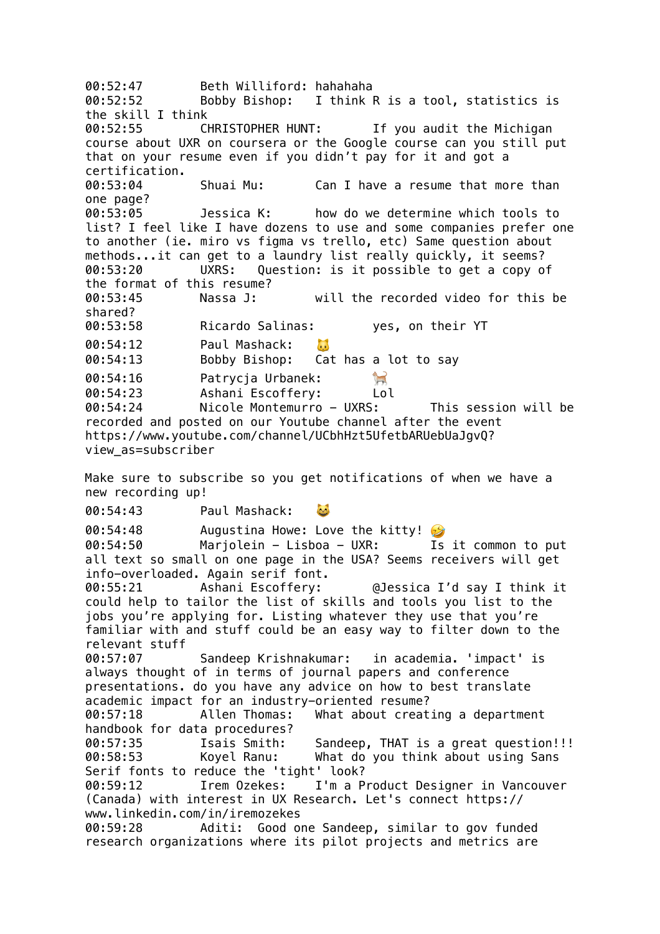00:52:47 Beth Williford: hahahaha 00:52:52 Bobby Bishop: I think R is a tool, statistics is the skill I think 00:52:55 CHRISTOPHER HUNT: If you audit the Michigan course about UXR on coursera or the Google course can you still put that on your resume even if you didn't pay for it and got a certification. 00:53:04 Shuai Mu: Can I have a resume that more than one page? 00:53:05 Jessica K: how do we determine which tools to list? I feel like I have dozens to use and some companies prefer one to another (ie. miro vs figma vs trello, etc) Same question about methods...it can get to a laundry list really quickly, it seems? 00:53:20 UXRS: Question: is it possible to get a copy of the format of this resume? 00:53:45 Nassa J: will the recorded video for this be shared? 00:53:58 Ricardo Salinas: yes, on their YT 00:54:12 Paul Mashack:  $\mathbf{L}$ 00:54:13 Bobby Bishop: Cat has a lot to say T 00:54:16 Patrycja Urbanek: 00:54:23 Ashani Escoffery: Lol 00:54:24 Nicole Montemurro - UXRS: This session will be recorded and posted on our Youtube channel after the event https://www.youtube.com/channel/UCbhHzt5UfetbARUebUaJgvQ? view\_as=subscriber Make sure to subscribe so you get notifications of when we have a new recording up! 00:54:43 Paul Mashack: 22 00:54:48 Augustina Howe: Love the kitty! 00:54:50 Marjolein - Lisboa - UXR: Is it common to put all text so small on one page in the USA? Seems receivers will get info-overloaded. Again serif font. 00:55:21 Ashani Escoffery: @Jessica I'd say I think it could help to tailor the list of skills and tools you list to the jobs you're applying for. Listing whatever they use that you're familiar with and stuff could be an easy way to filter down to the relevant stuff 00:57:07 Sandeep Krishnakumar: in academia. 'impact' is always thought of in terms of journal papers and conference presentations. do you have any advice on how to best translate academic impact for an industry-oriented resume? 00:57:18 Allen Thomas: What about creating a department handbook for data procedures? 00:57:35 Isais Smith: Sandeep, THAT is a great question!!! 00:58:53 Koyel Ranu: What do you think about using Sans Serif fonts to reduce the 'tight' look? 00:59:12 Irem Ozekes: I'm a Product Designer in Vancouver (Canada) with interest in UX Research. Let's connect https:// www.linkedin.com/in/iremozekes 00:59:28 Aditi: Good one Sandeep, similar to gov funded research organizations where its pilot projects and metrics are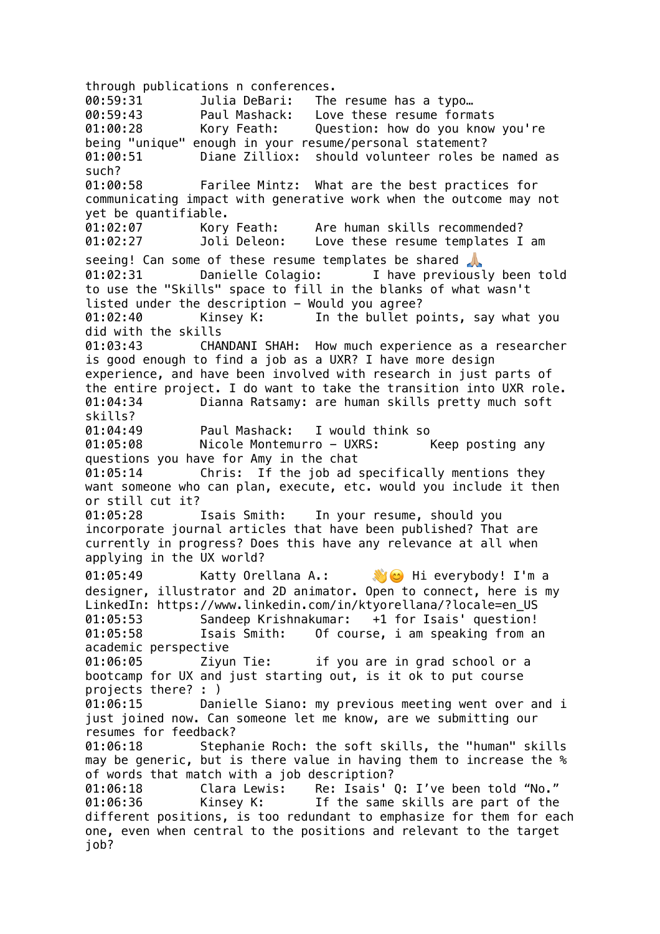through publications n conferences. 00:59:31 Julia DeBari: The resume has a typo… 00:59:43 Paul Mashack: Love these resume formats 01:00:28 Kory Feath: Question: how do you know you're being "unique" enough in your resume/personal statement? 01:00:51 Diane Zilliox: should volunteer roles be named as such? 01:00:58 Farilee Mintz: What are the best practices for communicating impact with generative work when the outcome may not yet be quantifiable. 01:02:07 Kory Feath: Are human skills recommended? 01:02:27 Joli Deleon: Love these resume templates I am seeing! Can some of these resume templates be shared 01:02:31 Danielle Colagio: I have previously been told to use the "Skills" space to fill in the blanks of what wasn't listed under the description - Would you agree? 01:02:40 Kinsey K: In the bullet points, say what you did with the skills 01:03:43 CHANDANI SHAH: How much experience as a researcher is good enough to find a job as a UXR? I have more design experience, and have been involved with research in just parts of the entire project. I do want to take the transition into UXR role. 01:04:34 Dianna Ratsamy: are human skills pretty much soft skills? 01:04:49 Paul Mashack: I would think so 01:05:08 Nicole Montemurro - UXRS: Keep posting any questions you have for Amy in the chat 01:05:14 Chris: If the job ad specifically mentions they want someone who can plan, execute, etc. would you include it then or still cut it? 01:05:28 Isais Smith: In your resume, should you incorporate journal articles that have been published? That are currently in progress? Does this have any relevance at all when applying in the UX world? 01:05:49 Katty Orellana A.: Hi everybody! I'm a designer, illustrator and 2D animator. Open to connect, here is my LinkedIn: https://www.linkedin.com/in/ktyorellana/?locale=en\_US 01:05:53 Sandeep Krishnakumar: +1 for Isais' question! 01:05:58 Isais Smith: Of course, i am speaking from an academic perspective 01:06:05 Ziyun Tie: if you are in grad school or a bootcamp for UX and just starting out, is it ok to put course projects there? : ) 01:06:15 Danielle Siano: my previous meeting went over and i just joined now. Can someone let me know, are we submitting our resumes for feedback? 01:06:18 Stephanie Roch: the soft skills, the "human" skills may be generic, but is there value in having them to increase the % of words that match with a job description? 01:06:18 Clara Lewis: Re: Isais' Q: I've been told "No." 01:06:36 Kinsey K: If the same skills are part of the different positions, is too redundant to emphasize for them for each one, even when central to the positions and relevant to the target job?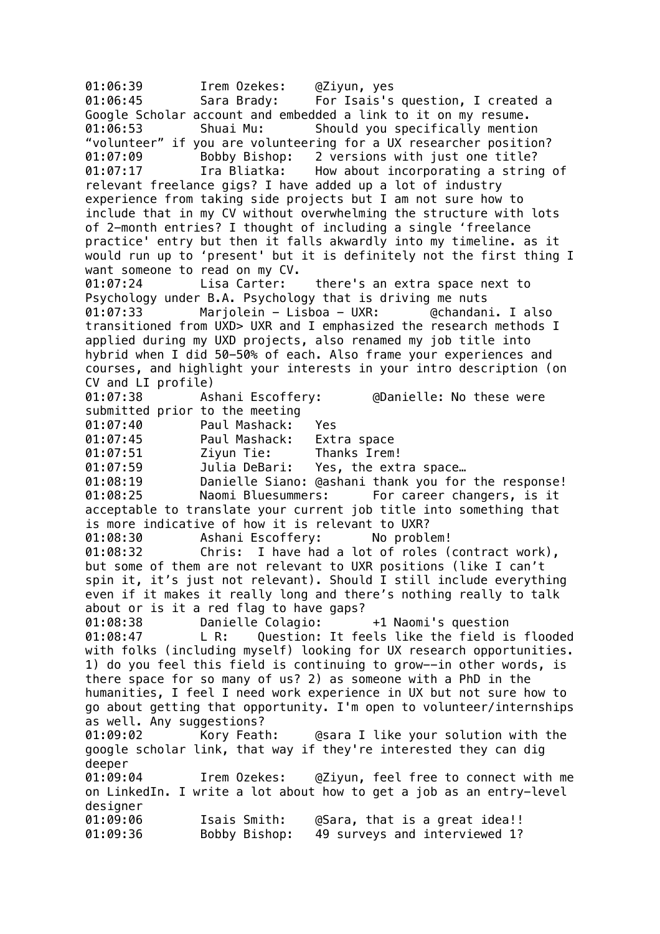01:06:39 Irem Ozekes: @Ziyun, yes 01:06:45 Sara Brady: For Isais's question, I created a Google Scholar account and embedded a link to it on my resume. 01:06:53 Shuai Mu: Should you specifically mention "volunteer" if you are volunteering for a UX researcher position? 01:07:09 Bobby Bishop: 2 versions with just one title? 01:07:17 Ira Bliatka: How about incorporating a string of relevant freelance gigs? I have added up a lot of industry experience from taking side projects but I am not sure how to include that in my CV without overwhelming the structure with lots of 2-month entries? I thought of including a single 'freelance practice' entry but then it falls akwardly into my timeline. as it would run up to 'present' but it is definitely not the first thing I want someone to read on my CV. 01:07:24 Lisa Carter: there's an extra space next to Psychology under B.A. Psychology that is driving me nuts 01:07:33 Marjolein - Lisboa - UXR: @chandani. I also transitioned from UXD> UXR and I emphasized the research methods I applied during my UXD projects, also renamed my job title into hybrid when I did 50-50% of each. Also frame your experiences and courses, and highlight your interests in your intro description (on CV and LI profile) 01:07:38 Ashani Escoffery: @Danielle: No these were submitted prior to the meeting 01:07:40 Paul Mashack: Yes 01:07:45 Paul Mashack: Extra space 01:07:51 Ziyun Tie: Thanks Irem! 01:07:59 Julia DeBari: Yes, the extra space… 01:08:19 Danielle Siano: @ashani thank you for the response! 01:08:25 Naomi Bluesummers: For career changers, is it acceptable to translate your current job title into something that is more indicative of how it is relevant to UXR? 01:08:30 Ashani Escoffery: No problem! 01:08:32 Chris: I have had a lot of roles (contract work), but some of them are not relevant to UXR positions (like I can't spin it, it's just not relevant). Should I still include everything even if it makes it really long and there's nothing really to talk about or is it a red flag to have gaps? 01:08:38 Danielle Colagio: +1 Naomi's question 01:08:47 L R: Question: It feels like the field is flooded with folks (including myself) looking for UX research opportunities. 1) do you feel this field is continuing to grow--in other words, is there space for so many of us? 2) as someone with a PhD in the humanities, I feel I need work experience in UX but not sure how to go about getting that opportunity. I'm open to volunteer/internships as well. Any suggestions? 01:09:02 Kory Feath: @sara I like your solution with the google scholar link, that way if they're interested they can dig deeper 01:09:04 Irem Ozekes: @Ziyun, feel free to connect with me on LinkedIn. I write a lot about how to get a job as an entry-level designer 01:09:06 Isais Smith: @Sara, that is a great idea!! 01:09:36 Bobby Bishop: 49 surveys and interviewed 1?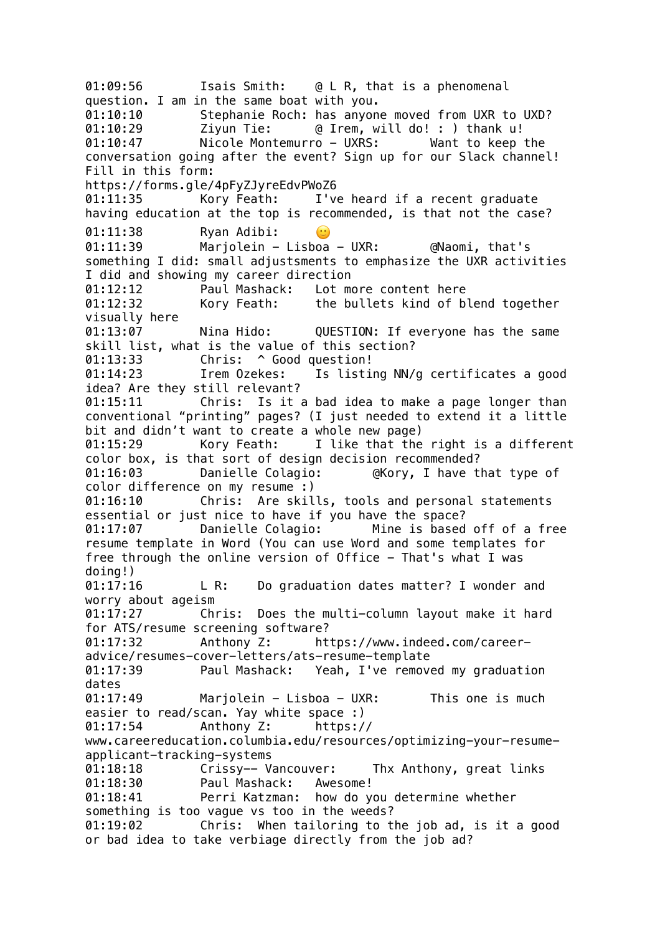01:09:56 Isais Smith: @ L R, that is a phenomenal question. I am in the same boat with you. 01:10:10 Stephanie Roch: has anyone moved from UXR to UXD? 01:10:29 Ziyun Tie: @ Irem, will do! : ) thank u! 01:10:47 Nicole Montemurro - UXRS: Want to keep the conversation going after the event? Sign up for our Slack channel! Fill in this form: https://forms.gle/4pFyZJyreEdvPWoZ6 01:11:35 Kory Feath: I've heard if a recent graduate having education at the top is recommended, is that not the case? 01:11:38 Ryan Adibi:  $\odot$ 01:11:39 Marjolein - Lisboa - UXR: @Naomi, that's something I did: small adjustsments to emphasize the UXR activities I did and showing my career direction 01:12:12 Paul Mashack: Lot more content here 01:12:32 Kory Feath: the bullets kind of blend together visually here 01:13:07 Nina Hido: QUESTION: If everyone has the same skill list, what is the value of this section? 01:13:33 Chris: ^ Good question! 01:14:23 Irem Ozekes: Is listing NN/g certificates a good idea? Are they still relevant? 01:15:11 Chris: Is it a bad idea to make a page longer than conventional "printing" pages? (I just needed to extend it a little bit and didn't want to create a whole new page) 01:15:29 Kory Feath: I like that the right is a different color box, is that sort of design decision recommended? 01:16:03 Danielle Colagio: @Kory, I have that type of color difference on my resume :) 01:16:10 Chris: Are skills, tools and personal statements essential or just nice to have if you have the space? 01:17:07 Danielle Colagio: Mine is based off of a free resume template in Word (You can use Word and some templates for free through the online version of Office - That's what I was doing!) 01:17:16 L R: Do graduation dates matter? I wonder and worry about ageism 01:17:27 Chris: Does the multi-column layout make it hard for ATS/resume screening software? 01:17:32 Anthony Z: https://www.indeed.com/careeradvice/resumes-cover-letters/ats-resume-template 01:17:39 Paul Mashack: Yeah, I've removed my graduation dates 01:17:49 Marjolein - Lisboa - UXR: This one is much easier to read/scan. Yay white space :) 01:17:54 Anthony Z: https:// www.careereducation.columbia.edu/resources/optimizing-your-resumeapplicant-tracking-systems 01:18:18 Crissy-- Vancouver: Thx Anthony, great links 01:18:30 Paul Mashack: Awesome! 01:18:41 Perri Katzman: how do you determine whether something is too vague vs too in the weeds? 01:19:02 Chris: When tailoring to the job ad, is it a good or bad idea to take verbiage directly from the job ad?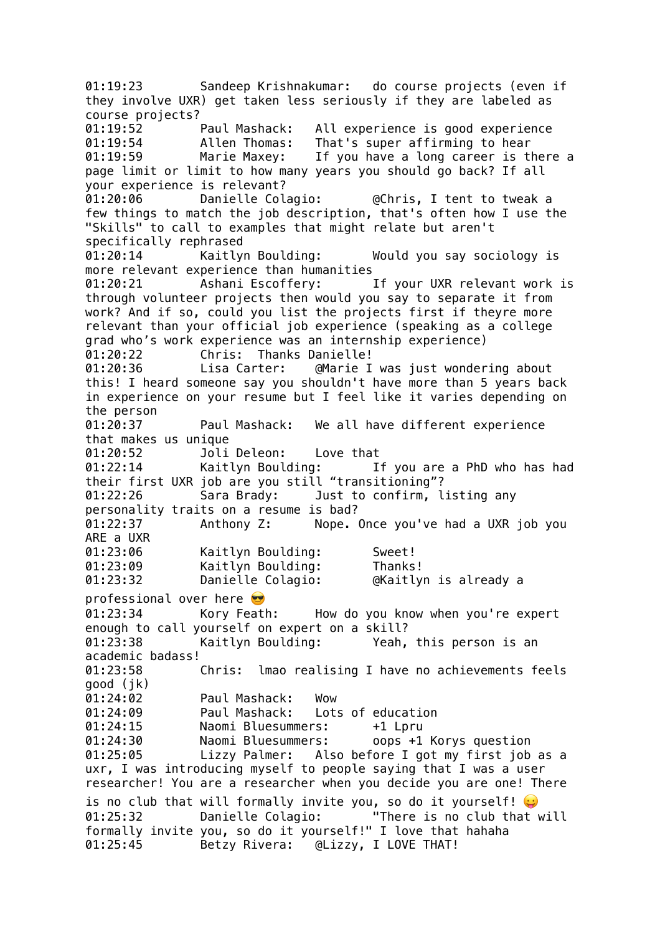01:19:23 Sandeep Krishnakumar: do course projects (even if they involve UXR) get taken less seriously if they are labeled as course projects? 01:19:52 Paul Mashack: All experience is good experience 01:19:54 Allen Thomas: That's super affirming to hear 01:19:59 Marie Maxey: If you have a long career is there a page limit or limit to how many years you should go back? If all your experience is relevant? 01:20:06 Danielle Colagio: @Chris, I tent to tweak a few things to match the job description, that's often how I use the "Skills" to call to examples that might relate but aren't specifically rephrased 01:20:14 Kaitlyn Boulding: Would you say sociology is more relevant experience than humanities 01:20:21 Ashani Escoffery: If your UXR relevant work is through volunteer projects then would you say to separate it from work? And if so, could you list the projects first if theyre more relevant than your official job experience (speaking as a college grad who's work experience was an internship experience) 01:20:22 Chris: Thanks Danielle! 01:20:36 Lisa Carter: @Marie I was just wondering about this! I heard someone say you shouldn't have more than 5 years back in experience on your resume but I feel like it varies depending on the person<br>01:20:37 Paul Mashack: We all have different experience that makes us unique 01:20:52 Joli Deleon: Love that<br>01:22:14 Kaitlyn Boulding: I 01:22:14 Kaitlyn Boulding: If you are a PhD who has had their first UXR job are you still "transitioning"? 01:22:26 Sara Brady: Just to confirm, listing any personality traits on a resume is bad? 01:22:37 Anthony Z: Nope. Once you've had a UXR job you ARE a UXR 01:23:06 Kaitlyn Boulding: Sweet! 01:23:09 Kaitlyn Boulding: Thanks! 01:23:32 Danielle Colagio: @Kaitlyn is already a professional over here 01:23:34 Kory Feath: How do you know when you're expert enough to call yourself on expert on a skill? 01:23:38 Kaitlyn Boulding: Yeah, this person is an academic badass! 01:23:58 Chris: lmao realising I have no achievements feels good (jk) 01:24:02 Paul Mashack: Wow 01:24:09 Paul Mashack: Lots of education 01:24:15 Naomi Bluesummers: +1 Lpru 01:24:30 Naomi Bluesummers: oops +1 Korys question 01:25:05 Lizzy Palmer: Also before I got my first job as a uxr, I was introducing myself to people saying that I was a user researcher! You are a researcher when you decide you are one! There is no club that will formally invite you, so do it yourself! 01:25:32 Danielle Colagio: "There is no club that will formally invite you, so do it yourself!" I love that hahaha 01:25:45 Betzy Rivera: @Lizzy, I LOVE THAT!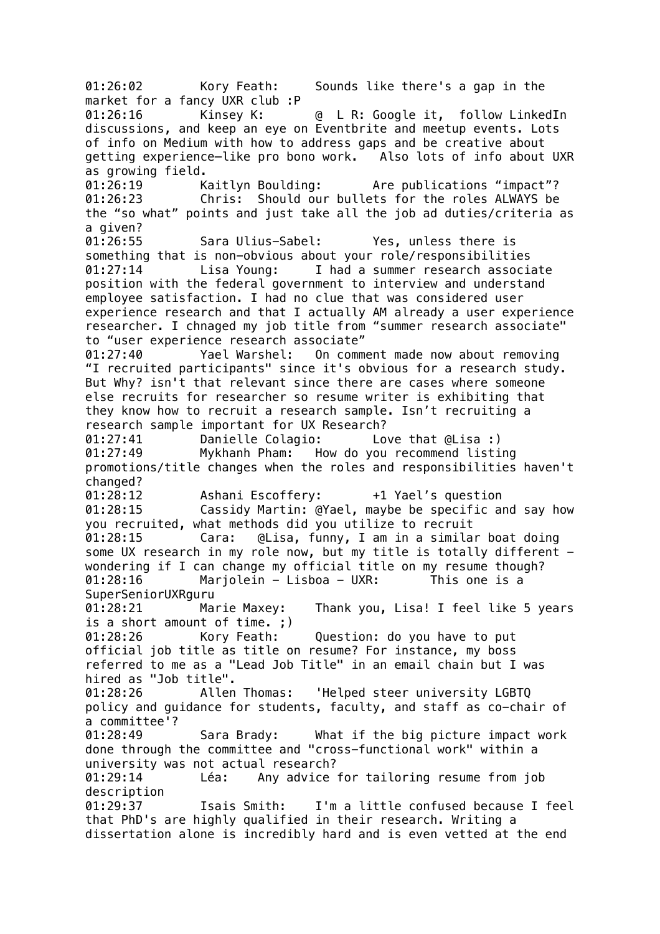01:26:02 Kory Feath: Sounds like there's a gap in the market for a fancy UXR club :P 01:26:16 Kinsey K: @ L R: Google it, follow LinkedIn discussions, and keep an eye on Eventbrite and meetup events. Lots of info on Medium with how to address gaps and be creative about getting experience—like pro bono work. Also lots of info about UXR as growing field. 01:26:19 Kaitlyn Boulding: Are publications "impact"? 01:26:23 Chris: Should our bullets for the roles ALWAYS be the "so what" points and just take all the job ad duties/criteria as a given? 01:26:55 Sara Ulius-Sabel: Yes, unless there is something that is non-obvious about your role/responsibilities 01:27:14 Lisa Young: I had a summer research associate position with the federal government to interview and understand employee satisfaction. I had no clue that was considered user experience research and that I actually AM already a user experience researcher. I chnaged my job title from "summer research associate" to "user experience research associate" 01:27:40 Yael Warshel: On comment made now about removing "I recruited participants" since it's obvious for a research study. But Why? isn't that relevant since there are cases where someone else recruits for researcher so resume writer is exhibiting that they know how to recruit a research sample. Isn't recruiting a research sample important for UX Research? 01:27:41 Danielle Colagio: Love that @Lisa :) 01:27:49 Mykhanh Pham: How do you recommend listing promotions/title changes when the roles and responsibilities haven't changed? 01:28:12 Ashani Escoffery: +1 Yael's question 01:28:15 Cassidy Martin: @Yael, maybe be specific and say how you recruited, what methods did you utilize to recruit 01:28:15 Cara: @Lisa, funny, I am in a similar boat doing some UX research in my role now, but my title is totally different wondering if I can change my official title on my resume though? 01:28:16 Marjolein - Lisboa - UXR: This one is a SuperSeniorUXRguru 01:28:21 Marie Maxey: Thank you, Lisa! I feel like 5 years is a short amount of time. ;) 01:28:26 Kory Feath: Question: do you have to put official job title as title on resume? For instance, my boss referred to me as a "Lead Job Title" in an email chain but I was hired as "Job title". 01:28:26 Allen Thomas: 'Helped steer university LGBTQ policy and guidance for students, faculty, and staff as co-chair of a committee'? 01:28:49 Sara Brady: What if the big picture impact work done through the committee and "cross-functional work" within a university was not actual research? 01:29:14 Léa: Any advice for tailoring resume from job description 01:29:37 Isais Smith: I'm a little confused because I feel that PhD's are highly qualified in their research. Writing a dissertation alone is incredibly hard and is even vetted at the end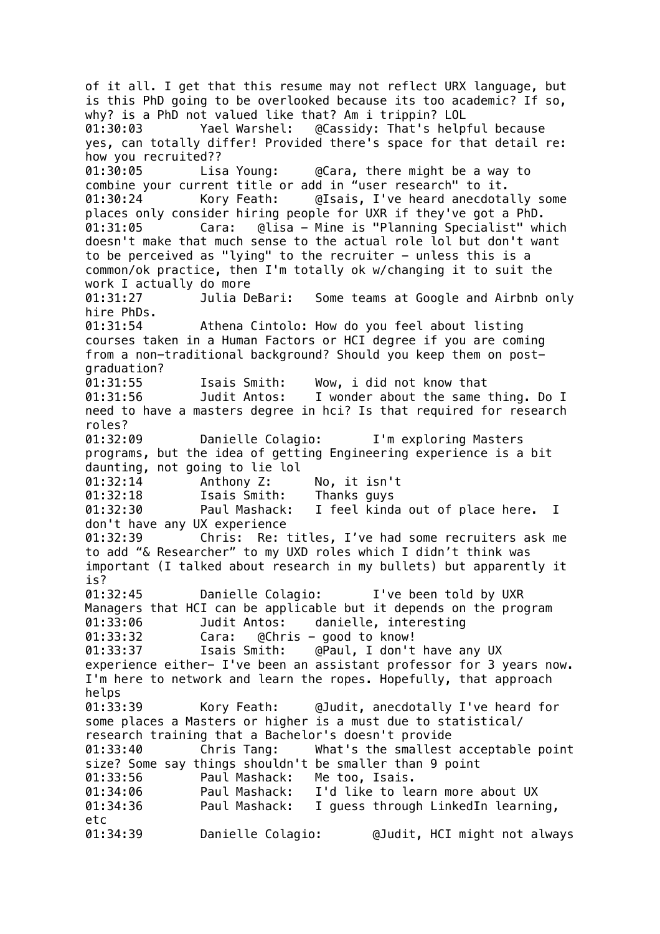of it all. I get that this resume may not reflect URX language, but is this PhD going to be overlooked because its too academic? If so, why? is a PhD not valued like that? Am i trippin? LOL 01:30:03 Yael Warshel: @Cassidy: That's helpful because yes, can totally differ! Provided there's space for that detail re: how you recruited?? 01:30:05 Lisa Young: @Cara, there might be a way to combine your current title or add in "user research" to it. 01:30:24 Kory Feath: @Isais, I've heard anecdotally some places only consider hiring people for UXR if they've got a PhD. 01:31:05 Cara: @lisa - Mine is "Planning Specialist" which doesn't make that much sense to the actual role lol but don't want to be perceived as "lying" to the recruiter  $-$  unless this is a common/ok practice, then I'm totally ok w/changing it to suit the work I actually do more 01:31:27 Julia DeBari: Some teams at Google and Airbnb only hire PhDs. 01:31:54 Athena Cintolo: How do you feel about listing courses taken in a Human Factors or HCI degree if you are coming from a non-traditional background? Should you keep them on postgraduation? 01:31:55 Isais Smith: Wow, i did not know that 01:31:56 Judit Antos: I wonder about the same thing. Do I need to have a masters degree in hci? Is that required for research roles? 01:32:09 Danielle Colagio: I'm exploring Masters programs, but the idea of getting Engineering experience is a bit daunting, not going to lie lol 01:32:14 Anthony Z: No, it isn't 01:32:18 Isais Smith: Thanks guys 01:32:30 Paul Mashack: I feel kinda out of place here. I don't have any UX experience 01:32:39 Chris: Re: titles, I've had some recruiters ask me to add "& Researcher" to my UXD roles which I didn't think was important (I talked about research in my bullets) but apparently it is? 01:32:45 Danielle Colagio: I've been told by UXR Managers that HCI can be applicable but it depends on the program 01:33:06 Judit Antos: danielle, interesting 01:33:32 Cara: @Chris - good to know! 01:33:37 Isais Smith: @Paul, I don't have any UX experience either- I've been an assistant professor for 3 years now. I'm here to network and learn the ropes. Hopefully, that approach helps 01:33:39 Kory Feath: @Judit, anecdotally I've heard for some places a Masters or higher is a must due to statistical/ research training that a Bachelor's doesn't provide 01:33:40 Chris Tang: What's the smallest acceptable point size? Some say things shouldn't be smaller than 9 point 01:33:56 Paul Mashack: Me too, Isais. 01:34:06 Paul Mashack: I'd like to learn more about UX 01:34:36 Paul Mashack: I guess through LinkedIn learning, etc 01:34:39 Danielle Colagio: @Judit, HCI might not always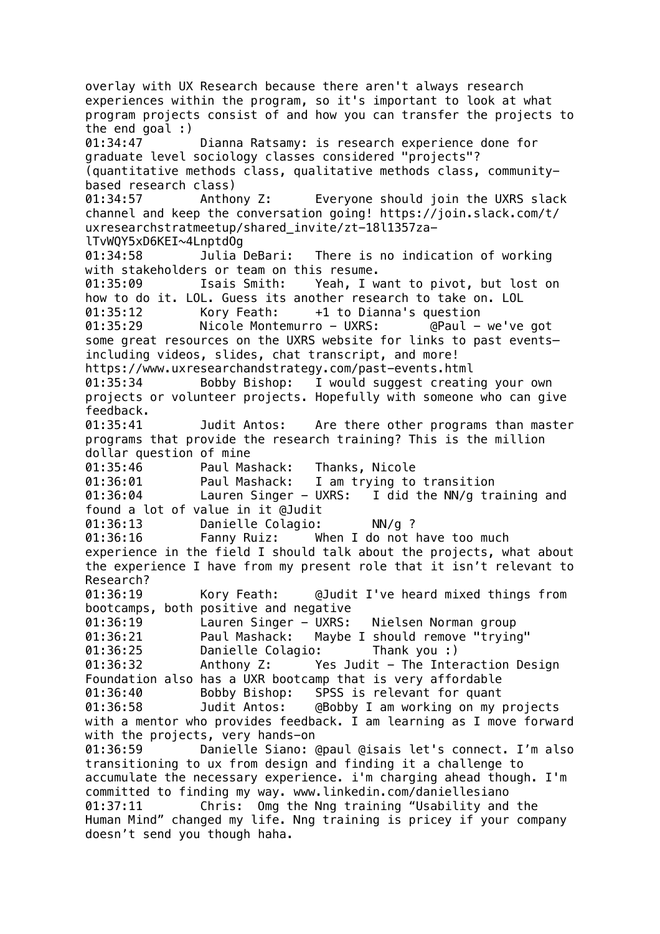overlay with UX Research because there aren't always research experiences within the program, so it's important to look at what program projects consist of and how you can transfer the projects to the end goal :) 01:34:47 Dianna Ratsamy: is research experience done for graduate level sociology classes considered "projects"? (quantitative methods class, qualitative methods class, communitybased research class) 01:34:57 Anthony Z: Everyone should join the UXRS slack channel and keep the conversation going! https://join.slack.com/t/ uxresearchstratmeetup/shared\_invite/zt-18l1357zalTvWQY5xD6KEI~4LnptdOg 01:34:58 Julia DeBari: There is no indication of working with stakeholders or team on this resume. 01:35:09 Isais Smith: Yeah, I want to pivot, but lost on how to do it. LOL. Guess its another research to take on. LOL 01:35:12 Kory Feath: +1 to Dianna's question 01:35:29 Nicole Montemurro - UXRS: @Paul - we've got some great resources on the UXRS website for links to past events– including videos, slides, chat transcript, and more! https://www.uxresearchandstrategy.com/past-events.html 01:35:34 Bobby Bishop: I would suggest creating your own projects or volunteer projects. Hopefully with someone who can give feedback. 01:35:41 Judit Antos: Are there other programs than master programs that provide the research training? This is the million dollar question of mine 01:35:46 Paul Mashack: Thanks, Nicole 01:36:01 Paul Mashack: I am trying to transition 01:36:04 Lauren Singer - UXRS: I did the NN/g training and found a lot of value in it @Judit 01:36:13 Danielle Colagio: NN/g ? 01:36:16 Fanny Ruiz: When I do not have too much experience in the field I should talk about the projects, what about the experience I have from my present role that it isn't relevant to Research? 01:36:19 Kory Feath: @Judit I've heard mixed things from bootcamps, both positive and negative 01:36:19 Lauren Singer - UXRS: Nielsen Norman group 01:36:21 Paul Mashack: Maybe I should remove "trying" 01:36:25 Danielle Colagio: Thank you :) 01:36:32 Anthony Z: Yes Judit - The Interaction Design Foundation also has a UXR bootcamp that is very affordable 01:36:40 Bobby Bishop: SPSS is relevant for quant 01:36:58 Judit Antos: @Bobby I am working on my projects with a mentor who provides feedback. I am learning as I move forward with the projects, very hands-on 01:36:59 Danielle Siano: @paul @isais let's connect. I'm also transitioning to ux from design and finding it a challenge to accumulate the necessary experience. i'm charging ahead though. I'm committed to finding my way. www.linkedin.com/daniellesiano 01:37:11 Chris: Omg the Nng training "Usability and the Human Mind" changed my life. Nng training is pricey if your company doesn't send you though haha.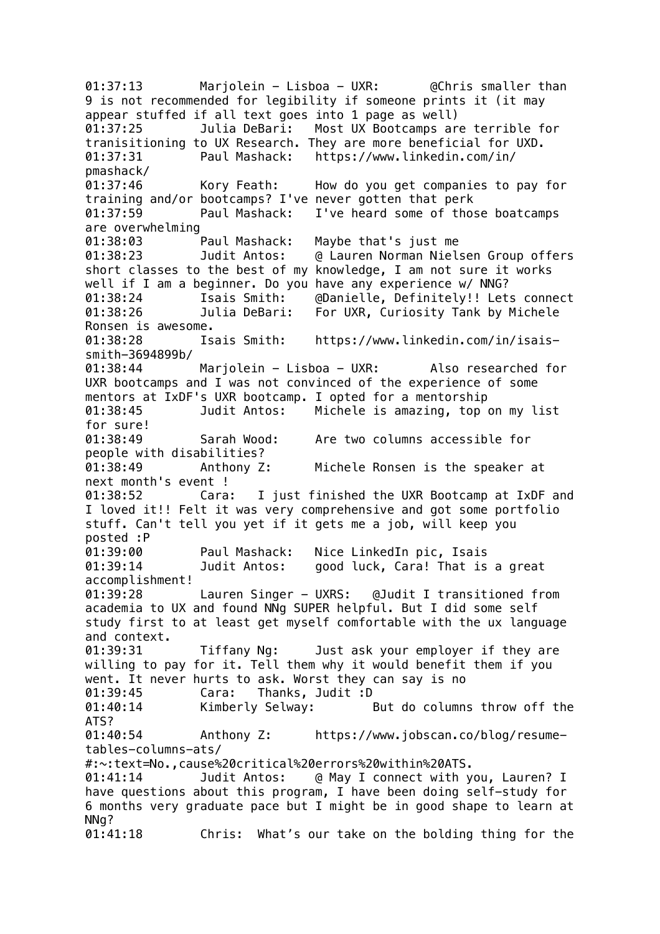01:37:13 Marjolein - Lisboa - UXR: @Chris smaller than 9 is not recommended for legibility if someone prints it (it may appear stuffed if all text goes into 1 page as well) 01:37:25 Julia DeBari: Most UX Bootcamps are terrible for tranisitioning to UX Research. They are more beneficial for UXD. 01:37:31 Paul Mashack: https://www.linkedin.com/in/ pmashack/ 01:37:46 Kory Feath: How do you get companies to pay for training and/or bootcamps? I've never gotten that perk 01:37:59 Paul Mashack: I've heard some of those boatcamps are overwhelming 01:38:03 Paul Mashack: Maybe that's just me 01:38:23 Judit Antos: @ Lauren Norman Nielsen Group offers short classes to the best of my knowledge, I am not sure it works well if I am a beginner. Do you have any experience w/ NNG? 01:38:24 Isais Smith: @Danielle, Definitely!! Lets connect 01:38:26 Julia DeBari: For UXR, Curiosity Tank by Michele Ronsen is awesome. 01:38:28 Isais Smith: https://www.linkedin.com/in/isaissmith-3694899b/ 01:38:44 Marjolein - Lisboa - UXR: Also researched for UXR bootcamps and I was not convinced of the experience of some mentors at IxDF's UXR bootcamp. I opted for a mentorship 01:38:45 Judit Antos: Michele is amazing, top on my list for sure! 01:38:49 Sarah Wood: Are two columns accessible for people with disabilities? 01:38:49 Anthony Z: Michele Ronsen is the speaker at next month's event ! 01:38:52 Cara: I just finished the UXR Bootcamp at IxDF and I loved it!! Felt it was very comprehensive and got some portfolio stuff. Can't tell you yet if it gets me a job, will keep you posted :P 01:39:00 Paul Mashack: Nice LinkedIn pic, Isais 01:39:14 Judit Antos: good luck, Cara! That is a great accomplishment! 01:39:28 Lauren Singer - UXRS: @Judit I transitioned from academia to UX and found NNg SUPER helpful. But I did some self study first to at least get myself comfortable with the ux language and context. 01:39:31 Tiffany Ng: Just ask your employer if they are willing to pay for it. Tell them why it would benefit them if you went. It never hurts to ask. Worst they can say is no 01:39:45 Cara: Thanks, Judit :D 01:40:14 Kimberly Selway: But do columns throw off the ATS? 01:40:54 Anthony Z: https://www.jobscan.co/blog/resumetables-columns-ats/ #:~:text=No.,cause%20critical%20errors%20within%20ATS. 01:41:14 Judit Antos: @ May I connect with you, Lauren? I have questions about this program, I have been doing self-study for 6 months very graduate pace but I might be in good shape to learn at NNg? 01:41:18 Chris: What's our take on the bolding thing for the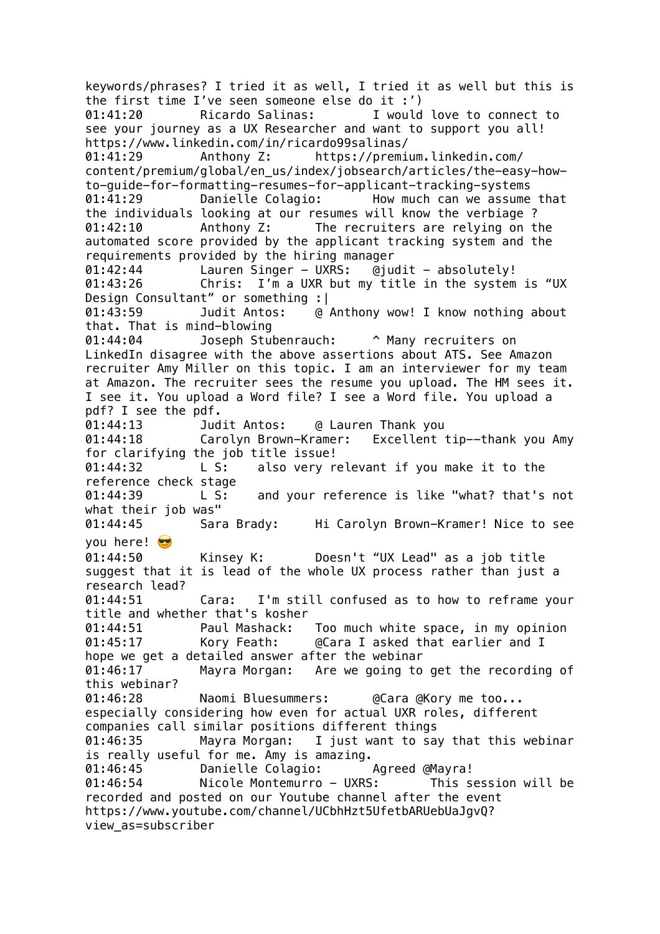keywords/phrases? I tried it as well, I tried it as well but this is the first time I've seen someone else do it :') 01:41:20 Ricardo Salinas: I would love to connect to see your journey as a UX Researcher and want to support you all! https://www.linkedin.com/in/ricardo99salinas/ 01:41:29 Anthony Z: https://premium.linkedin.com/ content/premium/global/en\_us/index/jobsearch/articles/the-easy-howto-guide-for-formatting-resumes-for-applicant-tracking-systems 01:41:29 Danielle Colagio: How much can we assume that the individuals looking at our resumes will know the verbiage ? 01:42:10 Anthony Z: The recruiters are relying on the automated score provided by the applicant tracking system and the requirements provided by the hiring manager 01:42:44 Lauren Singer - UXRS: @judit - absolutely! 01:43:26 Chris: I'm a UXR but my title in the system is "UX Design Consultant" or something :| 01:43:59 Judit Antos: @ Anthony wow! I know nothing about that. That is mind-blowing 01:44:04 Joseph Stubenrauch: ^ Many recruiters on LinkedIn disagree with the above assertions about ATS. See Amazon recruiter Amy Miller on this topic. I am an interviewer for my team at Amazon. The recruiter sees the resume you upload. The HM sees it. I see it. You upload a Word file? I see a Word file. You upload a pdf? I see the pdf. 01:44:13 Judit Antos: @ Lauren Thank you 01:44:18 Carolyn Brown-Kramer: Excellent tip--thank you Amy for clarifying the job title issue! 01:44:32 L S: also very relevant if you make it to the reference check stage 01:44:39 L S: and your reference is like "what? that's not what their job was" 01:44:45 Sara Brady: Hi Carolyn Brown-Kramer! Nice to see you here! 01:44:50 Kinsey K: Doesn't "UX Lead" as a job title suggest that it is lead of the whole UX process rather than just a research lead?<br>01:44:51 Cara: I'm still confused as to how to reframe your title and whether that's kosher 01:44:51 Paul Mashack: Too much white space, in my opinion 01:45:17 Kory Feath: @Cara I asked that earlier and I hope we get a detailed answer after the webinar 01:46:17 Mayra Morgan: Are we going to get the recording of this webinar? 01:46:28 Naomi Bluesummers: @Cara @Kory me too... especially considering how even for actual UXR roles, different companies call similar positions different things 01:46:35 Mayra Morgan: I just want to say that this webinar is really useful for me. Amy is amazing. 01:46:45 Danielle Colagio: Agreed @Mayra! 01:46:54 Nicole Montemurro - UXRS: This session will be recorded and posted on our Youtube channel after the event https://www.youtube.com/channel/UCbhHzt5UfetbARUebUaJgvQ? view\_as=subscriber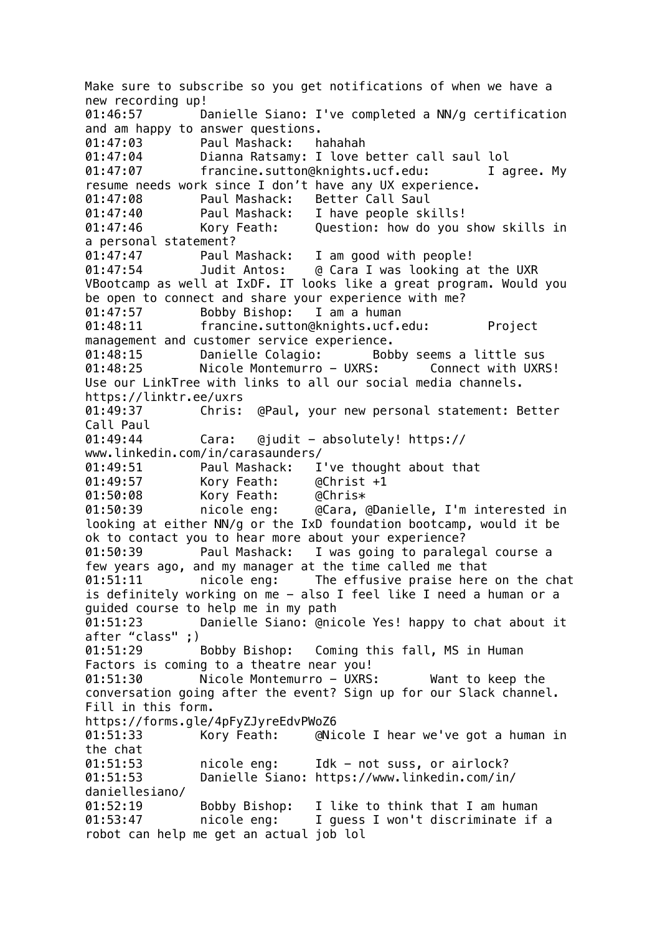Make sure to subscribe so you get notifications of when we have a new recording up! 01:46:57 Danielle Siano: I've completed a NN/g certification and am happy to answer questions. 01:47:03 Paul Mashack: hahahah 01:47:04 Dianna Ratsamy: I love better call saul lol 01:47:07 francine.sutton@knights.ucf.edu: I agree. My resume needs work since I don't have any UX experience. 01:47:08 Paul Mashack: Better Call Saul 01:47:40 Paul Mashack: I have people skills! 01:47:46 Kory Feath: Question: how do you show skills in a personal statement? 01:47:47 Paul Mashack: I am good with people! 01:47:54 Judit Antos: @ Cara I was looking at the UXR VBootcamp as well at IxDF. IT looks like a great program. Would you be open to connect and share your experience with me? 01:47:57 Bobby Bishop: I am a human 01:48:11 francine.sutton@knights.ucf.edu: Project management and customer service experience. 01:48:15 Danielle Colagio: Bobby seems a little sus 01:48:25 Nicole Montemurro - UXRS: Connect with UXRS! Use our LinkTree with links to all our social media channels. https://linktr.ee/uxrs 01:49:37 Chris: @Paul, your new personal statement: Better Call Paul 01:49:44 Cara: @judit - absolutely! https:// www.linkedin.com/in/carasaunders/ 01:49:51 Paul Mashack: I've thought about that 01:49:57 Kory Feath: @Christ +1 01:50:08 Kory Feath: @Chris\* 01:50:39 nicole eng: @Cara, @Danielle, I'm interested in looking at either NN/g or the IxD foundation bootcamp, would it be ok to contact you to hear more about your experience? 01:50:39 Paul Mashack: I was going to paralegal course a few years ago, and my manager at the time called me that 01:51:11 nicole eng: The effusive praise here on the chat is definitely working on me - also I feel like I need a human or a guided course to help me in my path 01:51:23 Danielle Siano: @nicole Yes! happy to chat about it after "class" ;) 01:51:29 Bobby Bishop: Coming this fall, MS in Human Factors is coming to a theatre near you! 01:51:30 Nicole Montemurro - UXRS: Want to keep the conversation going after the event? Sign up for our Slack channel. Fill in this form. https://forms.gle/4pFyZJyreEdvPWoZ6 01:51:33 Kory Feath: @Nicole I hear we've got a human in the chat 01:51:53 nicole eng: Idk - not suss, or airlock? 01:51:53 Danielle Siano: https://www.linkedin.com/in/ daniellesiano/ 01:52:19 Bobby Bishop: I like to think that I am human 01:53:47 nicole eng: I guess I won't discriminate if a robot can help me get an actual job lol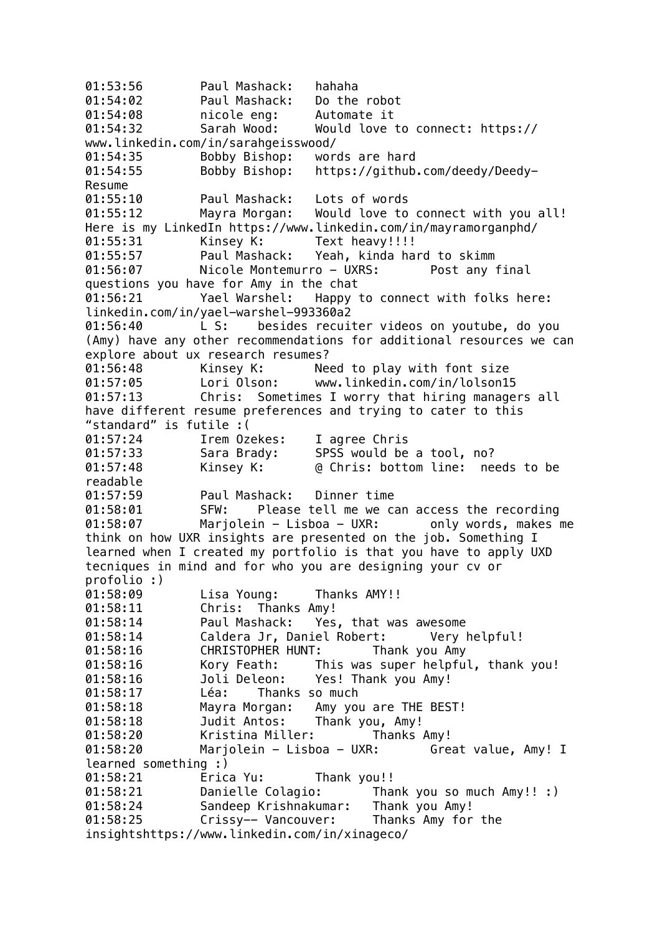01:53:56 Paul Mashack: hahaha 01:54:02 Paul Mashack: Do the robot 01:54:08 nicole eng: Automate it 01:54:32 Sarah Wood: Would love to connect: https:// www.linkedin.com/in/sarahgeisswood/ 01:54:35 Bobby Bishop: words are hard 01:54:55 Bobby Bishop: https://github.com/deedy/Deedy-Resume 01:55:10 Paul Mashack: Lots of words 01:55:12 Mayra Morgan: Would love to connect with you all! Here is my LinkedIn https://www.linkedin.com/in/mayramorganphd/ 01:55:31 Kinsey K: Text heavy!!!! 01:55:57 Paul Mashack: Yeah, kinda hard to skimm 01:56:07 Nicole Montemurro - UXRS: Post any final questions you have for Amy in the chat 01:56:21 Yael Warshel: Happy to connect with folks here: linkedin.com/in/yael-warshel-993360a2 01:56:40 L S: besides recuiter videos on youtube, do you (Amy) have any other recommendations for additional resources we can explore about ux research resumes? 01:56:48 Kinsey K: Need to play with font size 01:57:05 Lori Olson: www.linkedin.com/in/lolson15 01:57:13 Chris: Sometimes I worry that hiring managers all have different resume preferences and trying to cater to this "standard" is futile :( 01:57:24 Irem Ozekes: I agree Chris 01:57:33 Sara Brady: SPSS would be a tool, no? 01:57:48 Kinsey K: @ Chris: bottom line: needs to be readable 01:57:59 Paul Mashack: Dinner time 01:58:01 SFW: Please tell me we can access the recording 01:58:07 Marjolein - Lisboa - UXR: only words, makes me think on how UXR insights are presented on the job. Something I learned when I created my portfolio is that you have to apply UXD tecniques in mind and for who you are designing your cv or profolio :) 01:58:09 Lisa Young: Thanks AMY!! 01:58:11 Chris: Thanks Amy! 01:58:14 Paul Mashack: Yes, that was awesome 01:58:14 Caldera Jr, Daniel Robert: Very helpful! 01:58:16 CHRISTOPHER HUNT: Thank you Amy 01:58:16 Kory Feath: This was super helpful, thank you! 01:58:16 Joli Deleon: Yes! Thank you Amy! 01:58:17 Léa: Thanks so much 01:58:18 Mayra Morgan: Amy you are THE BEST! 01:58:18 Judit Antos: Thank you, Amy! 01:58:20 Kristina Miller: Thanks Amy! 01:58:20 Marjolein - Lisboa - UXR: Great value, Amy! I learned something :) 01:58:21 Erica Yu: Thank you!! 01:58:21 Danielle Colagio: Thank you so much Amy!! :) 01:58:24 Sandeep Krishnakumar: Thank you Amy! 01:58:25 Crissy-- Vancouver: Thanks Amy for the insightshttps://www.linkedin.com/in/xinageco/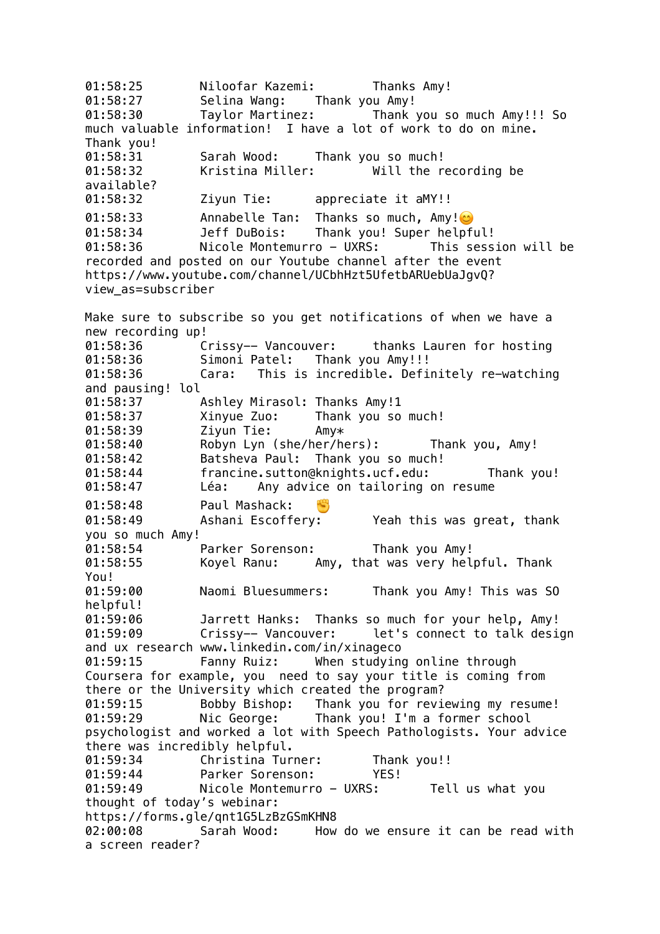01:58:25 Niloofar Kazemi: Thanks Amy! 01:58:27 Selina Wang: Thank you Amy! 01:58:30 Taylor Martinez: Thank you so much Amy!!! So much valuable information! I have a lot of work to do on mine. Thank you! 01:58:31 Sarah Wood: Thank you so much! 01:58:32 Kristina Miller: Will the recording be available? 01:58:32 Ziyun Tie: appreciate it aMY!! 01:58:33 Annabelle Tan: Thanks so much, Amy! 01:58:34 Jeff DuBois: Thank you! Super helpful! 01:58:36 Nicole Montemurro - UXRS: This session will be recorded and posted on our Youtube channel after the event https://www.youtube.com/channel/UCbhHzt5UfetbARUebUaJgvQ? view\_as=subscriber Make sure to subscribe so you get notifications of when we have a new recording up! 01:58:36 Crissy-- Vancouver: thanks Lauren for hosting 01:58:36 Simoni Patel: Thank you Amy!!! 01:58:36 Cara: This is incredible. Definitely re-watching and pausing! lol 01:58:37 Ashley Mirasol: Thanks Amy!1 01:58:37 Xinyue Zuo: Thank you so much! 01:58:39 Ziyun Tie: Amy\* 01:58:40 Robyn Lyn (she/her/hers): Thank you, Amy! 01:58:42 Batsheva Paul: Thank you so much! 01:58:44 francine.sutton@knights.ucf.edu: Thank you! 01:58:47 Léa: Any advice on tailoring on resume 01:58:48 Paul Mashack: 01:58:49 Ashani Escoffery: Yeah this was great, thank you so much Amy! 01:58:54 Parker Sorenson: Thank you Amy! 01:58:55 Koyel Ranu: Amy, that was very helpful. Thank You! 01:59:00 Naomi Bluesummers: Thank you Amy! This was SO helpful! 01:59:06 Jarrett Hanks: Thanks so much for your help, Amy! 01:59:09 Crissy-- Vancouver: let's connect to talk design and ux research www.linkedin.com/in/xinageco 01:59:15 Fanny Ruiz: When studying online through Coursera for example, you need to say your title is coming from there or the University which created the program?<br>01:59:15 Bobby Bishop: Thank you for revi 01:59:15 Bobby Bishop: Thank you for reviewing my resume! 01:59:29 Nic George: Thank you! I'm a former school psychologist and worked a lot with Speech Pathologists. Your advice there was incredibly helpful. 01:59:34 Christina Turner: Thank you!!<br>01:59:44 Parker Sorenson: YES! Parker Sorenson: YES! 01:59:49 Nicole Montemurro - UXRS: Tell us what you thought of today's webinar: https://forms.gle/qnt1G5LzBzGSmKHN8 02:00:08 Sarah Wood: How do we ensure it can be read with a screen reader?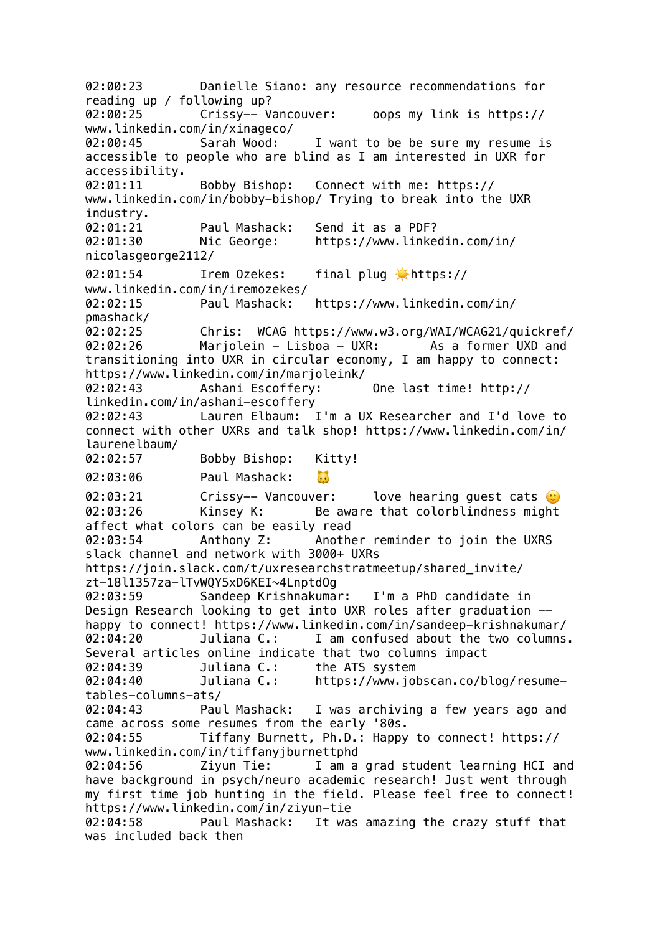02:00:23 Danielle Siano: any resource recommendations for reading up / following up? 02:00:25 Crissy-- Vancouver: oops my link is https:// www.linkedin.com/in/xinageco/ 02:00:45 Sarah Wood: I want to be be sure my resume is accessible to people who are blind as I am interested in UXR for accessibility. 02:01:11 Bobby Bishop: Connect with me: https:// www.linkedin.com/in/bobby-bishop/ Trying to break into the UXR industry. 02:01:21 Paul Mashack: Send it as a PDF? 02:01:30 Nic George: https://www.linkedin.com/in/ nicolasgeorge2112/ 02:01:54 Irem 0zekes: final plug thttps:// www.linkedin.com/in/iremozekes/ 02:02:15 Paul Mashack: https://www.linkedin.com/in/ pmashack/ 02:02:25 Chris: WCAG https://www.w3.org/WAI/WCAG21/quickref/ 02:02:26 Marjolein - Lisboa - UXR: As a former UXD and transitioning into UXR in circular economy, I am happy to connect: https://www.linkedin.com/in/marjoleink/ 02:02:43 Ashani Escoffery: One last time! http:// linkedin.com/in/ashani-escoffery 02:02:43 Lauren Elbaum: I'm a UX Researcher and I'd love to connect with other UXRs and talk shop! https://www.linkedin.com/in/ laurenelbaum/ 02:02:57 Bobby Bishop: Kitty! 02:03:06 Paul Mashack:  $\mathbf{L}$ 02:03:21 Crissy-- Vancouver: love hearing quest cats  $\odot$ 02:03:26 Kinsey K: Be aware that colorblindness might affect what colors can be easily read 02:03:54 Anthony Z: Another reminder to join the UXRS slack channel and network with 3000+ UXRs https://join.slack.com/t/uxresearchstratmeetup/shared\_invite/ zt-18l1357za-lTvWQY5xD6KEI~4LnptdOg 02:03:59 Sandeep Krishnakumar: I'm a PhD candidate in Design Research looking to get into UXR roles after graduation - happy to connect! https://www.linkedin.com/in/sandeep-krishnakumar/ 02:04:20 Juliana C.: I am confused about the two columns. Several articles online indicate that two columns impact 02:04:39 Juliana C.: the ATS system 02:04:40 Juliana C.: https://www.jobscan.co/blog/resumetables-columns-ats/ 02:04:43 Paul Mashack: I was archiving a few years ago and came across some resumes from the early '80s. 02:04:55 Tiffany Burnett, Ph.D.: Happy to connect! https:// www.linkedin.com/in/tiffanyjburnettphd 02:04:56 Ziyun Tie: I am a grad student learning HCI and have background in psych/neuro academic research! Just went through my first time job hunting in the field. Please feel free to connect! https://www.linkedin.com/in/ziyun-tie 02:04:58 Paul Mashack: It was amazing the crazy stuff that was included back then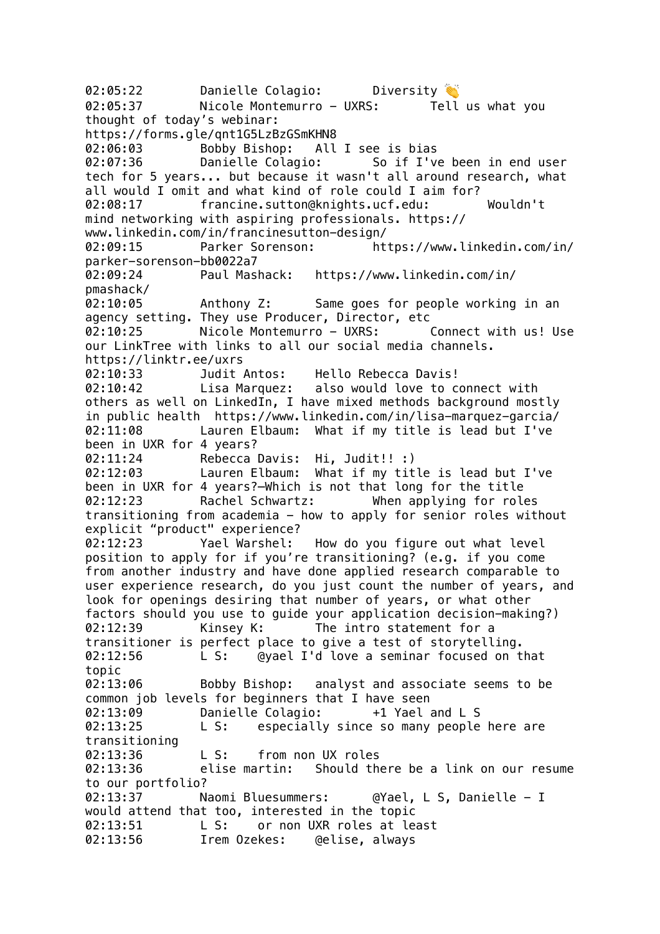02:05:22 Danielle Colagio: Diversity 02:05:37 Nicole Montemurro - UXRS: Tell us what you thought of today's webinar: https://forms.gle/qnt1G5LzBzGSmKHN8 02:06:03 Bobby Bishop: All I see is bias 02:07:36 Danielle Colagio: So if I've been in end user tech for 5 years... but because it wasn't all around research, what all would I omit and what kind of role could I aim for? 02:08:17 francine.sutton@knights.ucf.edu: Wouldn't mind networking with aspiring professionals. https:// www.linkedin.com/in/francinesutton-design/ 02:09:15 Parker Sorenson: https://www.linkedin.com/in/ parker-sorenson-bb0022a7 02:09:24 Paul Mashack: https://www.linkedin.com/in/ pmashack/ 02:10:05 Anthony Z: Same goes for people working in an agency setting. They use Producer, Director, etc 02:10:25 Nicole Montemurro - UXRS: Connect with us! Use our LinkTree with links to all our social media channels. https://linktr.ee/uxrs 02:10:33 Judit Antos: Hello Rebecca Davis! 02:10:42 Lisa Marquez: also would love to connect with others as well on LinkedIn, I have mixed methods background mostly in public health https://www.linkedin.com/in/lisa-marquez-garcia/ 02:11:08 Lauren Elbaum: What if my title is lead but I've been in UXR for 4 years? 02:11:24 Rebecca Davis: Hi, Judit!! :) 02:12:03 Lauren Elbaum: What if my title is lead but I've been in UXR for 4 years?—Which is not that long for the title 02:12:23 Rachel Schwartz: When applying for roles transitioning from academia - how to apply for senior roles without explicit "product" experience? 02:12:23 Yael Warshel: How do you figure out what level position to apply for if you're transitioning? (e.g. if you come from another industry and have done applied research comparable to user experience research, do you just count the number of years, and look for openings desiring that number of years, or what other factors should you use to guide your application decision-making?) 02:12:39 Kinsey K: The intro statement for a transitioner is perfect place to give a test of storytelling. 02:12:56 L S: @yael I'd love a seminar focused on that topic 02:13:06 Bobby Bishop: analyst and associate seems to be common job levels for beginners that I have seen 02:13:09 Danielle Colagio: +1 Yael and L S 02:13:25 L S: especially since so many people here are transitioning 02:13:36 L S: from non UX roles 02:13:36 elise martin: Should there be a link on our resume to our portfolio? 02:13:37 Naomi Bluesummers: @Yael, L S, Danielle - I would attend that too, interested in the topic 02:13:51 L S: or non UXR roles at least 02:13:56 Irem Ozekes: @elise, always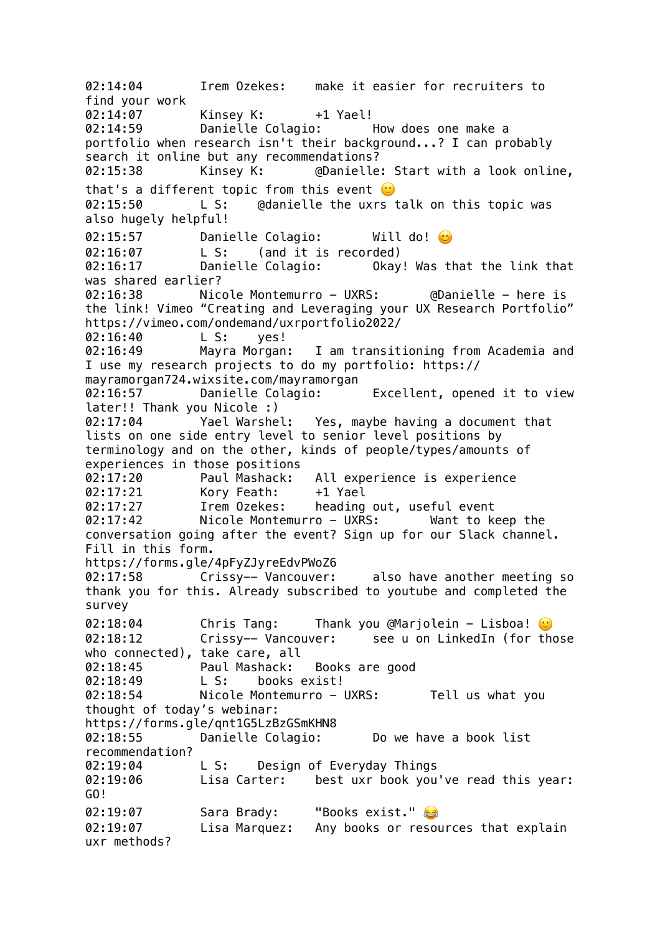02:14:04 Irem Ozekes: make it easier for recruiters to find your work 02:14:07 Kinsey K: +1 Yael! 02:14:59 Danielle Colagio: How does one make a portfolio when research isn't their background...? I can probably search it online but any recommendations? 02:15:38 Kinsey K: @Danielle: Start with a look online, that's a different topic from this event  $\odot$ 02:15:50 L S: @danielle the uxrs talk on this topic was also hugely helpful! 02:15:57 Danielle Colagio: Will do! O 02:16:07 L S: (and it is recorded) 02:16:17 Danielle Colagio: Okay! Was that the link that was shared earlier? 02:16:38 Nicole Montemurro - UXRS: @Danielle - here is the link! Vimeo "Creating and Leveraging your UX Research Portfolio" https://vimeo.com/ondemand/uxrportfolio2022/ 02:16:40 L S: yes! 02:16:49 Mayra Morgan: I am transitioning from Academia and I use my research projects to do my portfolio: https:// mayramorgan724.wixsite.com/mayramorgan 02:16:57 Danielle Colagio: Excellent, opened it to view later!! Thank you Nicole :) 02:17:04 Yael Warshel: Yes, maybe having a document that lists on one side entry level to senior level positions by terminology and on the other, kinds of people/types/amounts of experiences in those positions 02:17:20 Paul Mashack: All experience is experience 02:17:21 Kory Feath: +1 Yael 02:17:27 Irem Ozekes: heading out, useful event 02:17:42 Nicole Montemurro - UXRS: Want to keep the conversation going after the event? Sign up for our Slack channel. Fill in this form. https://forms.gle/4pFyZJyreEdvPWoZ6 02:17:58 Crissy-- Vancouver: also have another meeting so thank you for this. Already subscribed to youtube and completed the survey 02:18:04 Chris Tang: Thank you @Marjolein - Lisboa!  $\odot$ 02:18:12 Crissy-- Vancouver: see u on LinkedIn (for those who connected), take care, all 02:18:45 Paul Mashack: Books are good 02:18:49 L S: books exist! 02:18:54 Nicole Montemurro - UXRS: Tell us what you thought of today's webinar: https://forms.gle/qnt1G5LzBzGSmKHN8 02:18:55 Danielle Colagio: Do we have a book list recommendation? 02:19:04 L S: Design of Everyday Things 02:19:06 Lisa Carter: best uxr book you've read this year: GO! 02:19:07 Sara Brady: "Books exist." 02:19:07 Lisa Marquez: Any books or resources that explain uxr methods?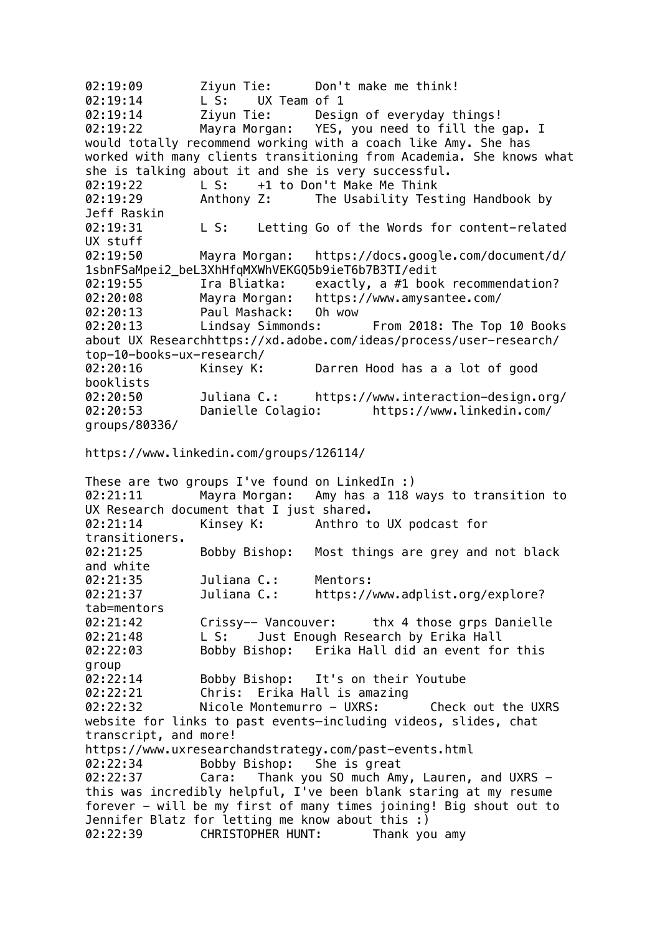02:19:09 Ziyun Tie: Don't make me think! 02:19:14 L S: UX Team of 1 02:19:14 Ziyun Tie: Design of everyday things! 02:19:22 Mayra Morgan: YES, you need to fill the gap. I would totally recommend working with a coach like Amy. She has worked with many clients transitioning from Academia. She knows what she is talking about it and she is very successful. 02:19:22 L S: +1 to Don't Make Me Think 02:19:29 Anthony Z: The Usability Testing Handbook by Jeff Raskin 02:19:31 L S: Letting Go of the Words for content-related UX stuff 02:19:50 Mayra Morgan: https://docs.google.com/document/d/ 1sbnFSaMpei2\_beL3XhHfqMXWhVEKGQ5b9ieT6b7B3TI/edit 02:19:55 Ira Bliatka: exactly, a #1 book recommendation? 02:20:08 Mayra Morgan: https://www.amysantee.com/ 02:20:13 Paul Mashack: Oh wow 02:20:13 Lindsay Simmonds: From 2018: The Top 10 Books about UX Researchhttps://xd.adobe.com/ideas/process/user-research/ top-10-books-ux-research/ 02:20:16 Kinsey K: Darren Hood has a a lot of good booklists 02:20:50 Juliana C.: https://www.interaction-design.org/ 02:20:53 Danielle Colagio: https://www.linkedin.com/ groups/80336/ https://www.linkedin.com/groups/126114/ These are two groups I've found on LinkedIn :) 02:21:11 Mayra Morgan: Amy has a 118 ways to transition to UX Research document that I just shared. 02:21:14 Kinsey K: Anthro to UX podcast for transitioners. 02:21:25 Bobby Bishop: Most things are grey and not black and white 02:21:35 Juliana C.: Mentors: 02:21:37 Juliana C.: https://www.adplist.org/explore? tab=mentors 02:21:42 Crissy-- Vancouver: thx 4 those grps Danielle 02:21:48 L S: Just Enough Research by Erika Hall 02:22:03 Bobby Bishop: Erika Hall did an event for this group 02:22:14 Bobby Bishop: It's on their Youtube 02:22:21 Chris: Erika Hall is amazing 02:22:32 Nicole Montemurro - UXRS: Check out the UXRS website for links to past events–including videos, slides, chat transcript, and more! https://www.uxresearchandstrategy.com/past-events.html<br>02:22:34 Bobby Bishop: She is great Bobby Bishop: She is great 02:22:37 Cara: Thank you SO much Amy, Lauren, and UXRS this was incredibly helpful, I've been blank staring at my resume forever - will be my first of many times joining! Big shout out to Jennifer Blatz for letting me know about this :) 02:22:39 CHRISTOPHER HUNT: Thank you amy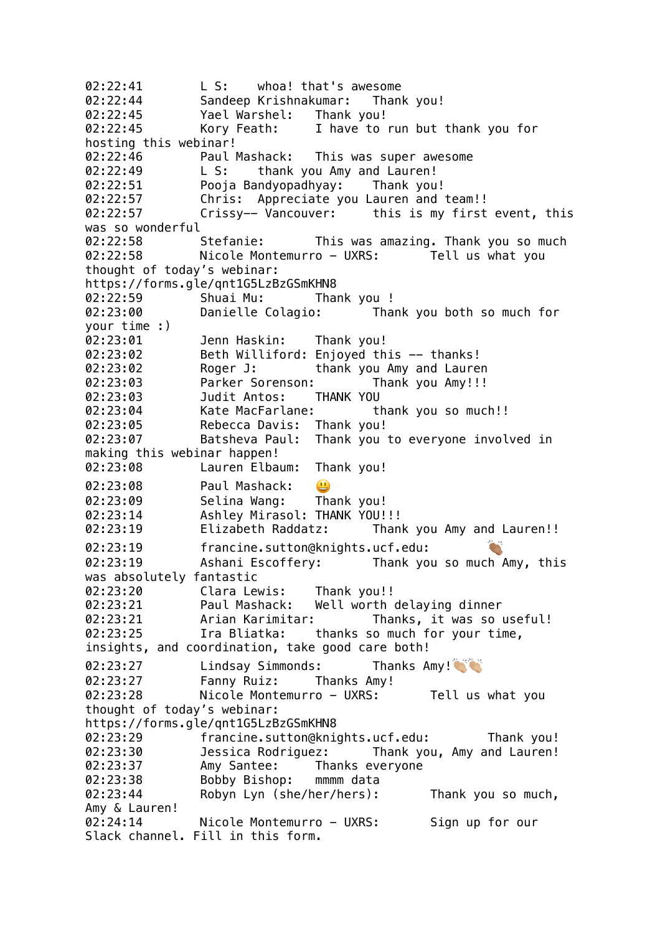02:22:41 L S: whoa! that's awesome 02:22:44 Sandeep Krishnakumar: Thank you! 02:22:45 Yael Warshel: Thank you! 02:22:45 Kory Feath: I have to run but thank you for hosting this webinar! 02:22:46 Paul Mashack: This was super awesome 02:22:49 L S: thank you Amy and Lauren! 02:22:51 Pooja Bandyopadhyay: Thank you! 02:22:57 Chris: Appreciate you Lauren and team!! 02:22:57 Crissy-- Vancouver: this is my first event, this was so wonderful 02:22:58 Stefanie: This was amazing. Thank you so much 02:22:58 Nicole Montemurro - UXRS: Tell us what you thought of today's webinar: https://forms.gle/qnt1G5LzBzGSmKHN8 02:22:59 Shuai Mu: Thank you ! 02:23:00 Danielle Colagio: Thank you both so much for your time :) 02:23:01 Jenn Haskin: Thank you! 02:23:02 Beth Williford: Enjoyed this -- thanks! 02:23:02 Roger J: thank you Amy and Lauren 02:23:03 Parker Sorenson: Thank you Amy!!! 02:23:03 Judit Antos: THANK YOU 02:23:04 Kate MacFarlane: thank you so much!! 02:23:05 Rebecca Davis: Thank you! 02:23:07 Batsheva Paul: Thank you to everyone involved in making this webinar happen! 02:23:08 Lauren Elbaum: Thank you! 02:23:08 Paul Mashack:  $\bigcirc$ 02:23:09 Selina Wang: Thank you! 02:23:14 Ashley Mirasol: THANK YOU!!! 02:23:19 Elizabeth Raddatz: Thank you Amy and Lauren!! 02:23:19 francine.sutton@knights.ucf.edu: 02:23:19 Ashani Escoffery: Thank you so much Amy, this was absolutely fantastic 02:23:20 Clara Lewis: Thank you!! 02:23:21 Paul Mashack: Well worth delaying dinner 02:23:21 Arian Karimitar: Thanks, it was so useful! 02:23:25 Ira Bliatka: thanks so much for your time, insights, and coordination, take good care both! 02:23:27 Lindsay Simmonds: Thanks Amy! 02:23:27 Fanny Ruiz: Thanks Amy! 02:23:28 Nicole Montemurro - UXRS: Tell us what you thought of today's webinar: https://forms.gle/qnt1G5LzBzGSmKHN8 02:23:29 francine.sutton@knights.ucf.edu: Thank you! 02:23:30 Jessica Rodriguez: Thank you, Amy and Lauren! 02:23:37 Amy Santee: Thanks everyone 02:23:38 Bobby Bishop: mmmm data 02:23:44 Robyn Lyn (she/her/hers): Thank you so much, Amy & Lauren! 02:24:14 Nicole Montemurro - UXRS: Sign up for our Slack channel. Fill in this form.